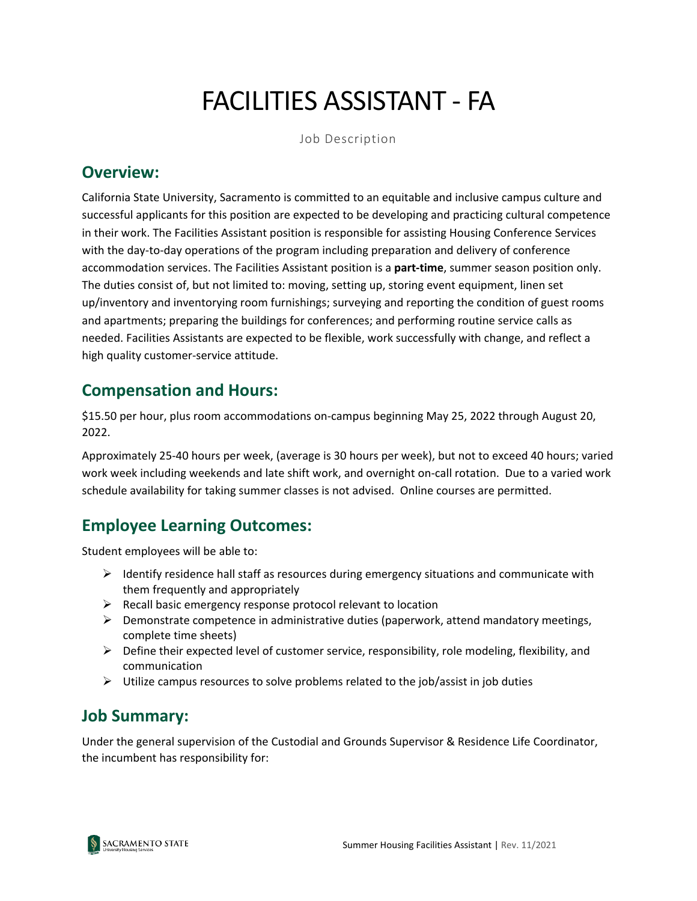# FACILITIES ASSISTANT - FA

Job Description

#### **Overview:**

California State University, Sacramento is committed to an equitable and inclusive campus culture and successful applicants for this position are expected to be developing and practicing cultural competence in their work. The Facilities Assistant position is responsible for assisting Housing Conference Services with the day-to-day operations of the program including preparation and delivery of conference accommodation services. The Facilities Assistant position is a **part-time**, summer season position only. The duties consist of, but not limited to: moving, setting up, storing event equipment, linen set up/inventory and inventorying room furnishings; surveying and reporting the condition of guest rooms and apartments; preparing the buildings for conferences; and performing routine service calls as needed. Facilities Assistants are expected to be flexible, work successfully with change, and reflect a high quality customer-service attitude.

## **Compensation and Hours:**

\$15.50 per hour, plus room accommodations on-campus beginning May 25, 2022 through August 20, 2022.

Approximately 25-40 hours per week, (average is 30 hours per week), but not to exceed 40 hours; varied work week including weekends and late shift work, and overnight on-call rotation. Due to a varied work schedule availability for taking summer classes is not advised. Online courses are permitted.

# **Employee Learning Outcomes:**

Student employees will be able to:

- $\triangleright$  Identify residence hall staff as resources during emergency situations and communicate with them frequently and appropriately
- $\triangleright$  Recall basic emergency response protocol relevant to location
- $\triangleright$  Demonstrate competence in administrative duties (paperwork, attend mandatory meetings, complete time sheets)
- $\triangleright$  Define their expected level of customer service, responsibility, role modeling, flexibility, and communication
- $\triangleright$  Utilize campus resources to solve problems related to the job/assist in job duties

#### **Job Summary:**

Under the general supervision of the Custodial and Grounds Supervisor & Residence Life Coordinator, the incumbent has responsibility for:

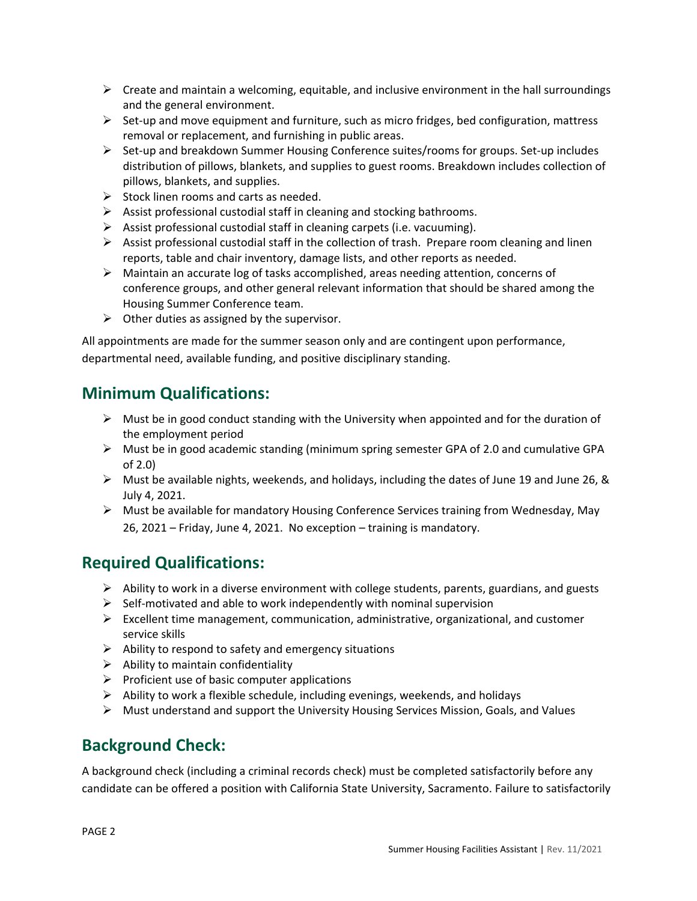- $\triangleright$  Create and maintain a welcoming, equitable, and inclusive environment in the hall surroundings and the general environment.
- $\triangleright$  Set-up and move equipment and furniture, such as micro fridges, bed configuration, mattress removal or replacement, and furnishing in public areas.
- $\triangleright$  Set-up and breakdown Summer Housing Conference suites/rooms for groups. Set-up includes distribution of pillows, blankets, and supplies to guest rooms. Breakdown includes collection of pillows, blankets, and supplies.
- $\triangleright$  Stock linen rooms and carts as needed.
- $\triangleright$  Assist professional custodial staff in cleaning and stocking bathrooms.
- $\triangleright$  Assist professional custodial staff in cleaning carpets (i.e. vacuuming).
- $\triangleright$  Assist professional custodial staff in the collection of trash. Prepare room cleaning and linen reports, table and chair inventory, damage lists, and other reports as needed.
- $\triangleright$  Maintain an accurate log of tasks accomplished, areas needing attention, concerns of conference groups, and other general relevant information that should be shared among the Housing Summer Conference team.
- $\triangleright$  Other duties as assigned by the supervisor.

All appointments are made for the summer season only and are contingent upon performance, departmental need, available funding, and positive disciplinary standing.

# **Minimum Qualifications:**

- $\triangleright$  Must be in good conduct standing with the University when appointed and for the duration of the employment period
- $\triangleright$  Must be in good academic standing (minimum spring semester GPA of 2.0 and cumulative GPA of 2.0)
- $\triangleright$  Must be available nights, weekends, and holidays, including the dates of June 19 and June 26, & July 4, 2021.
- $\triangleright$  Must be available for mandatory Housing Conference Services training from Wednesday, May 26, 2021 – Friday, June 4, 2021. No exception – training is mandatory.

### **Required Qualifications:**

- $\triangleright$  Ability to work in a diverse environment with college students, parents, guardians, and guests
- $\triangleright$  Self-motivated and able to work independently with nominal supervision
- $\triangleright$  Excellent time management, communication, administrative, organizational, and customer service skills
- $\triangleright$  Ability to respond to safety and emergency situations
- $\triangleright$  Ability to maintain confidentiality
- $\triangleright$  Proficient use of basic computer applications
- $\triangleright$  Ability to work a flexible schedule, including evenings, weekends, and holidays
- $\triangleright$  Must understand and support the University Housing Services Mission, Goals, and Values

### **Background Check:**

A background check (including a criminal records check) must be completed satisfactorily before any candidate can be offered a position with California State University, Sacramento. Failure to satisfactorily